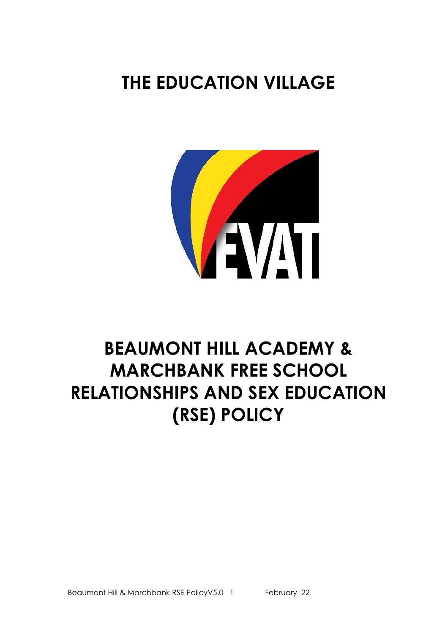**THE EDUCATION VILLAGE**



# **BEAUMONT HILL ACADEMY & MARCHBANK FREE SCHOOL RELATIONSHIPS AND SEX EDUCATION (RSE) POLICY**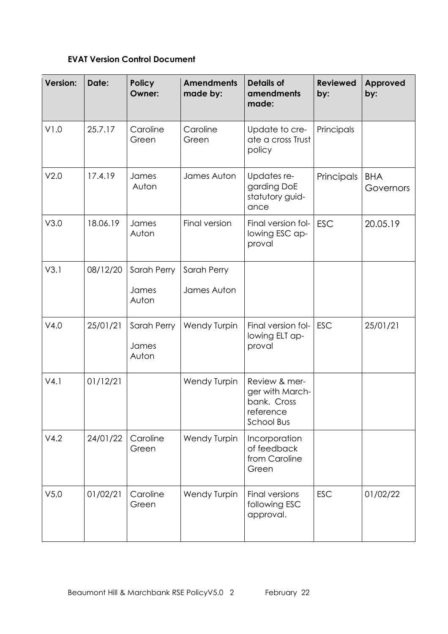# **EVAT Version Control Document**

| <b>Version:</b> | Date:    | <b>Policy</b><br><b>Owner:</b> | <b>Amendments</b><br>made by: | <b>Details of</b><br>amendments<br>made:                                          | <b>Reviewed</b><br>by: | Approved<br>by:         |
|-----------------|----------|--------------------------------|-------------------------------|-----------------------------------------------------------------------------------|------------------------|-------------------------|
| V1.0            | 25.7.17  | Caroline<br>Green              | Caroline<br>Green             | Update to cre-<br>ate a cross Trust<br>policy                                     | Principals             |                         |
| V2.0            | 17.4.19  | James<br>Auton                 | James Auton                   | Updates re-<br>garding DoE<br>statutory guid-<br>ance                             | Principals             | <b>BHA</b><br>Governors |
| V3.0            | 18.06.19 | James<br>Auton                 | Final version                 | Final version fol-<br>lowing ESC ap-<br>proval                                    | <b>ESC</b>             | 20.05.19                |
| V3.1            | 08/12/20 | Sarah Perry                    | Sarah Perry                   |                                                                                   |                        |                         |
|                 |          | James<br>Auton                 | James Auton                   |                                                                                   |                        |                         |
| V4.0            | 25/01/21 | Sarah Perry<br>James<br>Auton  | Wendy Turpin                  | Final version fol-<br>lowing ELT ap-<br>proval                                    | <b>ESC</b>             | 25/01/21                |
| V4.1            | 01/12/21 |                                | Wendy Turpin                  | Review & mer-<br>ger with March-<br>bank. Cross<br>reference<br><b>School Bus</b> |                        |                         |
| V4.2            | 24/01/22 | Caroline<br>Green              | Wendy Turpin                  | Incorporation<br>of feedback<br>from Caroline<br>Green                            |                        |                         |
| V5,0            | 01/02/21 | Caroline<br>Green              | Wendy Turpin                  | Final versions<br>following ESC<br>approval.                                      | <b>ESC</b>             | 01/02/22                |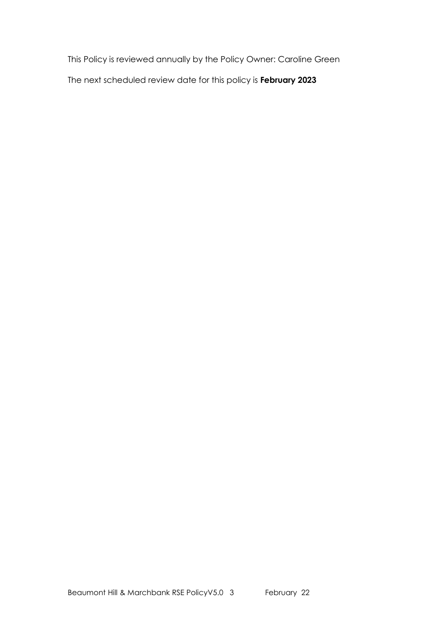This Policy is reviewed annually by the Policy Owner: Caroline Green The next scheduled review date for this policy is **February 2023**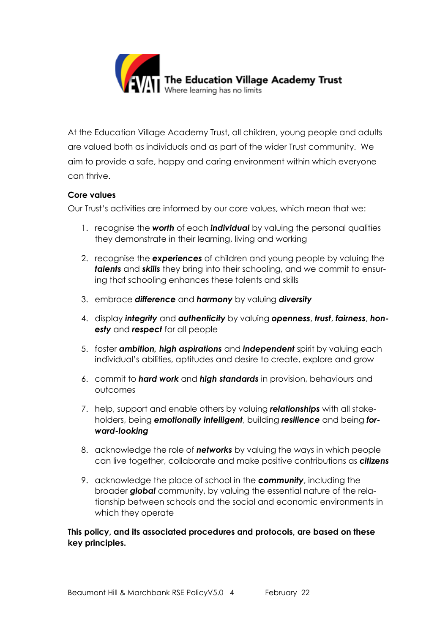

At the Education Village Academy Trust, all children, young people and adults are valued both as individuals and as part of the wider Trust community. We aim to provide a safe, happy and caring environment within which everyone can thrive.

## **Core values**

Our Trust's activities are informed by our core values, which mean that we:

- 1. recognise the *worth* of each *individual* by valuing the personal qualities they demonstrate in their learning, living and working
- 2. recognise the *experiences* of children and young people by valuing the *talents* and *skills* they bring into their schooling, and we commit to ensuring that schooling enhances these talents and skills
- 3. embrace *difference* and *harmony* by valuing *diversity*
- 4. display *integrity* and *authenticity* by valuing *openness*, *trust*, *fairness*, *honesty* and *respect* for all people
- 5. foster *ambition, high aspirations* and *independent* spirit by valuing each individual's abilities, aptitudes and desire to create, explore and grow
- 6. commit to *hard work* and *high standards* in provision, behaviours and outcomes
- 7. help, support and enable others by valuing *relationships* with all stakeholders, being *emotionally intelligent*, building *resilience* and being *forward-looking*
- 8. acknowledge the role of *networks* by valuing the ways in which people can live together, collaborate and make positive contributions as *citizens*
- 9. acknowledge the place of school in the *community*, including the broader *global* community, by valuing the essential nature of the relationship between schools and the social and economic environments in which they operate

## **This policy, and its associated procedures and protocols, are based on these key principles.**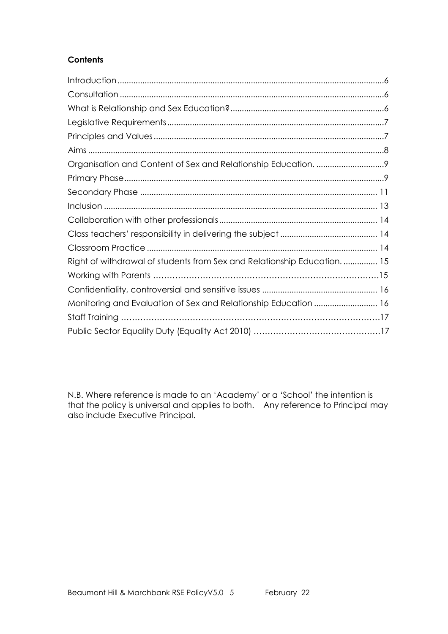# **Contents**

| Right of withdrawal of students from Sex and Relationship Education.  15 |  |
|--------------------------------------------------------------------------|--|
|                                                                          |  |
|                                                                          |  |
|                                                                          |  |
|                                                                          |  |
|                                                                          |  |

N.B. Where reference is made to an 'Academy' or a 'School' the intention is that the policy is universal and applies to both. Any reference to Principal may also include Executive Principal.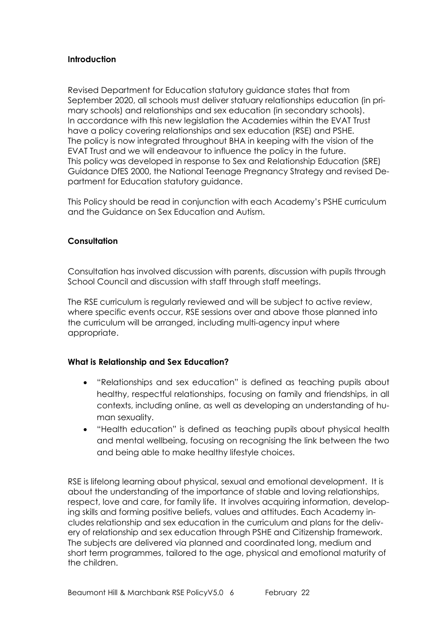#### **Introduction**

Revised Department for Education statutory guidance states that from September 2020, all schools must deliver statuary relationships education (in primary schools) and relationships and sex education (in secondary schools). In accordance with this new legislation the Academies within the EVAT Trust have a policy covering relationships and sex education (RSE) and PSHE. The policy is now integrated throughout BHA in keeping with the vision of the EVAT Trust and we will endeavour to influence the policy in the future. This policy was developed in response to Sex and Relationship Education (SRE) Guidance DfES 2000, the National Teenage Pregnancy Strategy and revised Department for Education statutory guidance.

This Policy should be read in conjunction with each Academy's PSHE curriculum and the Guidance on Sex Education and Autism.

#### **Consultation**

Consultation has involved discussion with parents, discussion with pupils through School Council and discussion with staff through staff meetings.

The RSE curriculum is regularly reviewed and will be subject to active review, where specific events occur, RSE sessions over and above those planned into the curriculum will be arranged, including multi-agency input where appropriate.

## **What is Relationship and Sex Education?**

- "Relationships and sex education" is defined as teaching pupils about healthy, respectful relationships, focusing on family and friendships, in all contexts, including online, as well as developing an understanding of human sexuality.
- "Health education" is defined as teaching pupils about physical health and mental wellbeing, focusing on recognising the link between the two and being able to make healthy lifestyle choices.

RSE is lifelong learning about physical, sexual and emotional development. It is about the understanding of the importance of stable and loving relationships, respect, love and care, for family life. It involves acquiring information, developing skills and forming positive beliefs, values and attitudes. Each Academy includes relationship and sex education in the curriculum and plans for the delivery of relationship and sex education through PSHE and Citizenship framework. The subjects are delivered via planned and coordinated long, medium and short term programmes, tailored to the age, physical and emotional maturity of the children.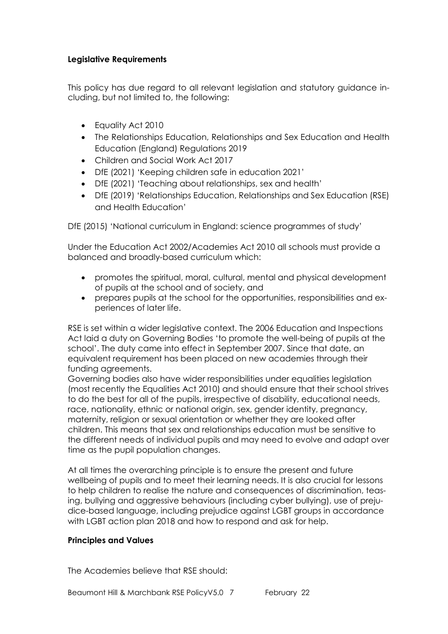## **Legislative Requirements**

This policy has due regard to all relevant legislation and statutory guidance including, but not limited to, the following:

- Equality Act 2010
- The Relationships Education, Relationships and Sex Education and Health Education (England) Regulations 2019
- Children and Social Work Act 2017
- DfE (2021) 'Keeping children safe in education 2021'
- DfE (2021) 'Teaching about relationships, sex and health'
- DfE (2019) 'Relationships Education, Relationships and Sex Education (RSE) and Health Education'

DfE (2015) 'National curriculum in England: science programmes of study'

Under the Education Act 2002/Academies Act 2010 all schools must provide a balanced and broadly-based curriculum which:

- promotes the spiritual, moral, cultural, mental and physical development of pupils at the school and of society, and
- prepares pupils at the school for the opportunities, responsibilities and experiences of later life.

RSE is set within a wider legislative context. The 2006 Education and Inspections Act laid a duty on Governing Bodies 'to promote the well-being of pupils at the school'. The duty came into effect in September 2007. Since that date, an equivalent requirement has been placed on new academies through their funding agreements.

Governing bodies also have wider responsibilities under equalities legislation (most recently the Equalities Act 2010) and should ensure that their school strives to do the best for all of the pupils, irrespective of disability, educational needs, race, nationality, ethnic or national origin, sex, gender identity, pregnancy, maternity, religion or sexual orientation or whether they are looked after children. This means that sex and relationships education must be sensitive to the different needs of individual pupils and may need to evolve and adapt over time as the pupil population changes.

At all times the overarching principle is to ensure the present and future wellbeing of pupils and to meet their learning needs. It is also crucial for lessons to help children to realise the nature and consequences of discrimination, teasing, bullying and aggressive behaviours (including cyber bullying), use of prejudice-based language, including prejudice against LGBT groups in accordance with LGBT action plan 2018 and how to respond and ask for help.

#### **Principles and Values**

The Academies believe that RSE should: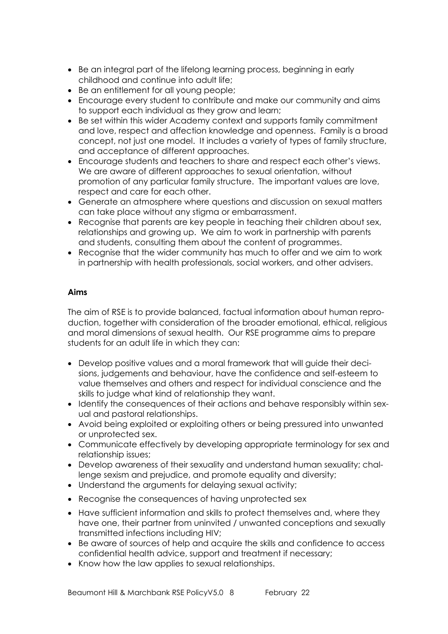- Be an integral part of the lifelong learning process, beginning in early childhood and continue into adult life;
- Be an entitlement for all young people;
- Encourage every student to contribute and make our community and aims to support each individual as they grow and learn;
- Be set within this wider Academy context and supports family commitment and love, respect and affection knowledge and openness. Family is a broad concept, not just one model. It includes a variety of types of family structure, and acceptance of different approaches.
- Encourage students and teachers to share and respect each other's views. We are aware of different approaches to sexual orientation, without promotion of any particular family structure. The important values are love, respect and care for each other.
- Generate an atmosphere where questions and discussion on sexual matters can take place without any stigma or embarrassment.
- Recognise that parents are key people in teaching their children about sex, relationships and growing up. We aim to work in partnership with parents and students, consulting them about the content of programmes.
- Recognise that the wider community has much to offer and we aim to work in partnership with health professionals, social workers, and other advisers.

## **Aims**

The aim of RSE is to provide balanced, factual information about human reproduction, together with consideration of the broader emotional, ethical, religious and moral dimensions of sexual health. Our RSE programme aims to prepare students for an adult life in which they can:

- Develop positive values and a moral framework that will guide their decisions, judgements and behaviour, have the confidence and self-esteem to value themselves and others and respect for individual conscience and the skills to judge what kind of relationship they want.
- Identify the consequences of their actions and behave responsibly within sexual and pastoral relationships.
- Avoid being exploited or exploiting others or being pressured into unwanted or unprotected sex.
- Communicate effectively by developing appropriate terminology for sex and relationship issues;
- Develop awareness of their sexuality and understand human sexuality; challenge sexism and prejudice, and promote equality and diversity;
- Understand the arguments for delaying sexual activity;
- Recognise the consequences of having unprotected sex
- Have sufficient information and skills to protect themselves and, where they have one, their partner from uninvited / unwanted conceptions and sexually transmitted infections including HIV;
- Be aware of sources of help and acquire the skills and confidence to access confidential health advice, support and treatment if necessary;
- Know how the law applies to sexual relationships.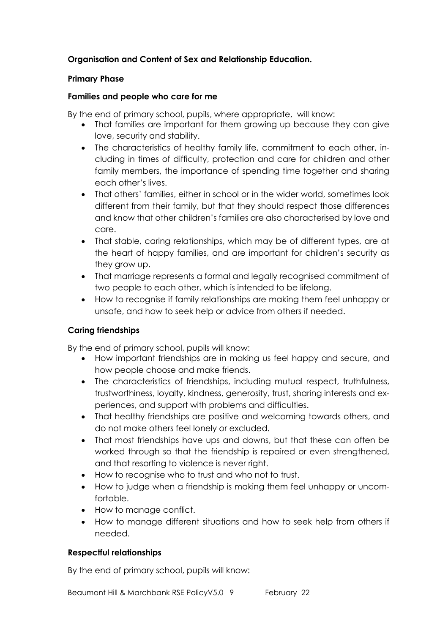# **Organisation and Content of Sex and Relationship Education.**

## **Primary Phase**

## **Families and people who care for me**

By the end of primary school, pupils, where appropriate, will know:

- That families are important for them growing up because they can give love, security and stability.
- The characteristics of healthy family life, commitment to each other, including in times of difficulty, protection and care for children and other family members, the importance of spending time together and sharing each other's lives.
- That others' families, either in school or in the wider world, sometimes look different from their family, but that they should respect those differences and know that other children's families are also characterised by love and care.
- That stable, caring relationships, which may be of different types, are at the heart of happy families, and are important for children's security as they grow up.
- That marriage represents a formal and legally recognised commitment of two people to each other, which is intended to be lifelong.
- How to recognise if family relationships are making them feel unhappy or unsafe, and how to seek help or advice from others if needed.

# **Caring friendships**

By the end of primary school, pupils will know:

- How important friendships are in making us feel happy and secure, and how people choose and make friends.
- The characteristics of friendships, including mutual respect, truthfulness, trustworthiness, loyalty, kindness, generosity, trust, sharing interests and experiences, and support with problems and difficulties.
- That healthy friendships are positive and welcoming towards others, and do not make others feel lonely or excluded.
- That most friendships have ups and downs, but that these can often be worked through so that the friendship is repaired or even strengthened, and that resorting to violence is never right.
- How to recognise who to trust and who not to trust.
- How to judge when a friendship is making them feel unhappy or uncomfortable.
- How to manage conflict.
- How to manage different situations and how to seek help from others if needed.

# **Respectful relationships**

By the end of primary school, pupils will know: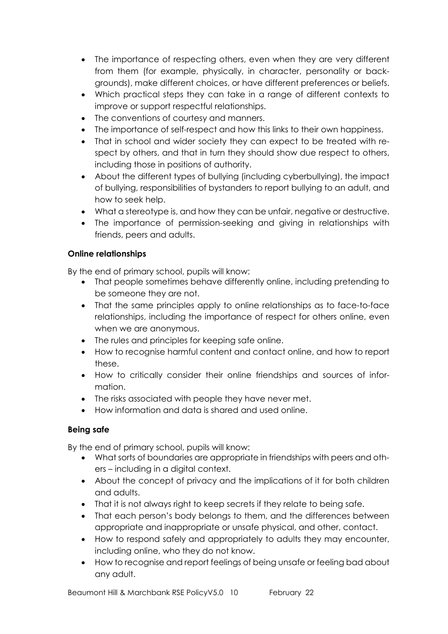- The importance of respecting others, even when they are very different from them (for example, physically, in character, personality or backgrounds), make different choices, or have different preferences or beliefs.
- Which practical steps they can take in a range of different contexts to improve or support respectful relationships.
- The conventions of courtesy and manners.
- The importance of self-respect and how this links to their own happiness.
- That in school and wider society they can expect to be treated with respect by others, and that in turn they should show due respect to others, including those in positions of authority.
- About the different types of bullying (including cyberbullying), the impact of bullying, responsibilities of bystanders to report bullying to an adult, and how to seek help.
- What a stereotype is, and how they can be unfair, negative or destructive.
- The importance of permission-seeking and giving in relationships with friends, peers and adults.

# **Online relationships**

By the end of primary school, pupils will know:

- That people sometimes behave differently online, including pretending to be someone they are not.
- That the same principles apply to online relationships as to face-to-face relationships, including the importance of respect for others online, even when we are anonymous.
- The rules and principles for keeping safe online.
- How to recognise harmful content and contact online, and how to report these.
- How to critically consider their online friendships and sources of information.
- The risks associated with people they have never met.
- How information and data is shared and used online.

# **Being safe**

By the end of primary school, pupils will know:

- What sorts of boundaries are appropriate in friendships with peers and others – including in a digital context.
- About the concept of privacy and the implications of it for both children and adults.
- That it is not always right to keep secrets if they relate to being safe.
- That each person's body belongs to them, and the differences between appropriate and inappropriate or unsafe physical, and other, contact.
- How to respond safely and appropriately to adults they may encounter, including online, who they do not know.
- How to recognise and report feelings of being unsafe or feeling bad about any adult.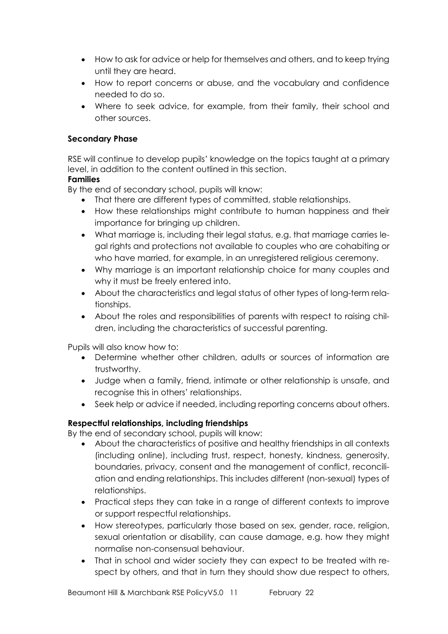- How to ask for advice or help for themselves and others, and to keep trying until they are heard.
- How to report concerns or abuse, and the vocabulary and confidence needed to do so.
- Where to seek advice, for example, from their family, their school and other sources.

## **Secondary Phase**

RSE will continue to develop pupils' knowledge on the topics taught at a primary level, in addition to the content outlined in this section.

## **Families**

By the end of secondary school, pupils will know:

- That there are different types of committed, stable relationships.
- How these relationships might contribute to human happiness and their importance for bringing up children.
- What marriage is, including their legal status, e.g. that marriage carries legal rights and protections not available to couples who are cohabiting or who have married, for example, in an unregistered religious ceremony.
- Why marriage is an important relationship choice for many couples and why it must be freely entered into.
- About the characteristics and legal status of other types of long-term relationships.
- About the roles and responsibilities of parents with respect to raising children, including the characteristics of successful parenting.

Pupils will also know how to:

- Determine whether other children, adults or sources of information are trustworthy.
- Judge when a family, friend, intimate or other relationship is unsafe, and recognise this in others' relationships.
- Seek help or advice if needed, including reporting concerns about others.

# **Respectful relationships, including friendships**

By the end of secondary school, pupils will know:

- About the characteristics of positive and healthy friendships in all contexts (including online), including trust, respect, honesty, kindness, generosity, boundaries, privacy, consent and the management of conflict, reconciliation and ending relationships. This includes different (non-sexual) types of relationships.
- Practical steps they can take in a range of different contexts to improve or support respectful relationships.
- How stereotypes, particularly those based on sex, gender, race, religion, sexual orientation or disability, can cause damage, e.g. how they might normalise non-consensual behaviour.
- That in school and wider society they can expect to be treated with respect by others, and that in turn they should show due respect to others,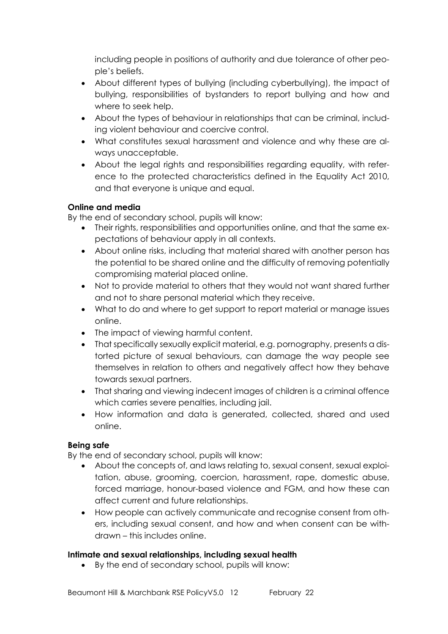including people in positions of authority and due tolerance of other people's beliefs.

- About different types of bullying (including cyberbullying), the impact of bullying, responsibilities of bystanders to report bullying and how and where to seek help.
- About the types of behaviour in relationships that can be criminal, including violent behaviour and coercive control.
- What constitutes sexual harassment and violence and why these are always unacceptable.
- About the legal rights and responsibilities regarding equality, with reference to the protected characteristics defined in the Equality Act 2010, and that everyone is unique and equal.

# **Online and media**

By the end of secondary school, pupils will know:

- Their rights, responsibilities and opportunities online, and that the same expectations of behaviour apply in all contexts.
- About online risks, including that material shared with another person has the potential to be shared online and the difficulty of removing potentially compromising material placed online.
- Not to provide material to others that they would not want shared further and not to share personal material which they receive.
- What to do and where to get support to report material or manage issues online.
- The impact of viewing harmful content.
- That specifically sexually explicit material, e.g. pornography, presents a distorted picture of sexual behaviours, can damage the way people see themselves in relation to others and negatively affect how they behave towards sexual partners.
- That sharing and viewing indecent images of children is a criminal offence which carries severe penalties, including jail.
- How information and data is generated, collected, shared and used online.

# **Being safe**

By the end of secondary school, pupils will know:

- About the concepts of, and laws relating to, sexual consent, sexual exploitation, abuse, grooming, coercion, harassment, rape, domestic abuse, forced marriage, honour-based violence and FGM, and how these can affect current and future relationships.
- How people can actively communicate and recognise consent from others, including sexual consent, and how and when consent can be withdrawn – this includes online.

# **Intimate and sexual relationships, including sexual health**

By the end of secondary school, pupils will know: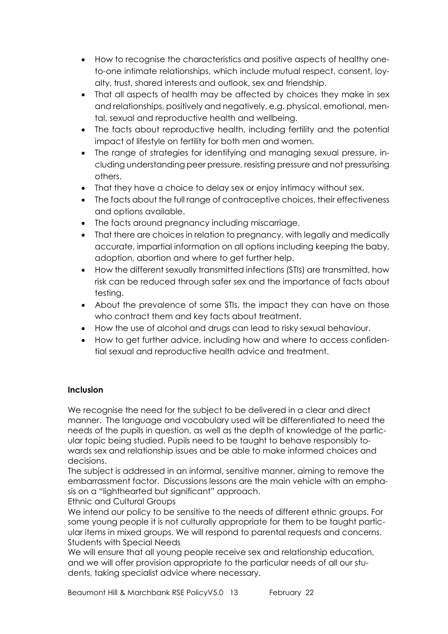- How to recognise the characteristics and positive aspects of healthy oneto-one intimate relationships, which include mutual respect, consent, loyalty, trust, shared interests and outlook, sex and friendship.
- That all aspects of health may be affected by choices they make in sex and relationships, positively and negatively, e.g. physical, emotional, mental, sexual and reproductive health and wellbeing.
- The facts about reproductive health, including fertility and the potential impact of lifestyle on fertility for both men and women.
- The range of strategies for identifying and managing sexual pressure, including understanding peer pressure, resisting pressure and not pressurising others.
- That they have a choice to delay sex or enjoy intimacy without sex.
- The facts about the full range of contraceptive choices, their effectiveness and options available.
- The facts around pregnancy including miscarriage.
- That there are choices in relation to pregnancy, with legally and medically accurate, impartial information on all options including keeping the baby, adoption, abortion and where to get further help.
- How the different sexually transmitted infections (STIs) are transmitted, how risk can be reduced through safer sex and the importance of facts about testing.
- About the prevalence of some STIs, the impact they can have on those who contract them and key facts about treatment.
- How the use of alcohol and drugs can lead to risky sexual behaviour.
- How to get further advice, including how and where to access confidential sexual and reproductive health advice and treatment.

# **Inclusion**

We recognise the need for the subject to be delivered in a clear and direct manner. The language and vocabulary used will be differentiated to need the needs of the pupils in question, as well as the depth of knowledge of the particular topic being studied. Pupils need to be taught to behave responsibly towards sex and relationship issues and be able to make informed choices and decisions.

The subject is addressed in an informal, sensitive manner, aiming to remove the embarrassment factor. Discussions lessons are the main vehicle with an emphasis on a "lighthearted but significant" approach.

Ethnic and Cultural Groups

We intend our policy to be sensitive to the needs of different ethnic groups. For some young people it is not culturally appropriate for them to be taught particular items in mixed groups. We will respond to parental requests and concerns. Students with Special Needs

We will ensure that all young people receive sex and relationship education, and we will offer provision appropriate to the particular needs of all our students, taking specialist advice where necessary.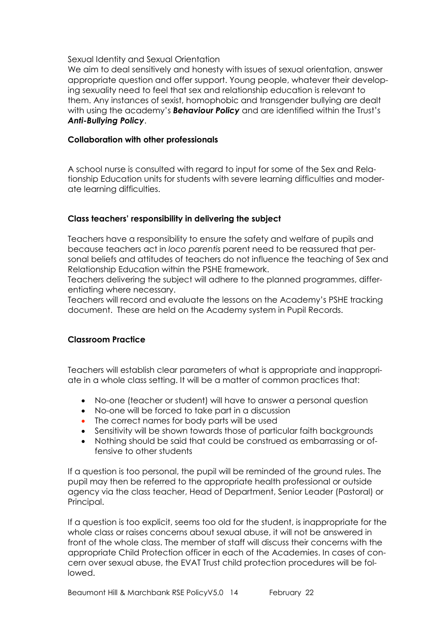Sexual Identity and Sexual Orientation

We aim to deal sensitively and honesty with issues of sexual orientation, answer appropriate question and offer support. Young people, whatever their developing sexuality need to feel that sex and relationship education is relevant to them. Any instances of sexist, homophobic and transgender bullying are dealt with using the academy's *Behaviour Policy* and are identified within the Trust's *Anti-Bullying Policy*.

#### **Collaboration with other professionals**

A school nurse is consulted with regard to input for some of the Sex and Relationship Education units for students with severe learning difficulties and moderate learning difficulties.

## **Class teachers' responsibility in delivering the subject**

Teachers have a responsibility to ensure the safety and welfare of pupils and because teachers act in *loco parentis* parent need to be reassured that personal beliefs and attitudes of teachers do not influence the teaching of Sex and Relationship Education within the PSHE framework.

Teachers delivering the subject will adhere to the planned programmes, differentiating where necessary.

Teachers will record and evaluate the lessons on the Academy's PSHE tracking document. These are held on the Academy system in Pupil Records.

## **Classroom Practice**

Teachers will establish clear parameters of what is appropriate and inappropriate in a whole class setting. It will be a matter of common practices that:

- No-one (teacher or student) will have to answer a personal question
- No-one will be forced to take part in a discussion
- The correct names for body parts will be used
- Sensitivity will be shown towards those of particular faith backgrounds
- Nothing should be said that could be construed as embarrassing or offensive to other students

If a question is too personal, the pupil will be reminded of the ground rules. The pupil may then be referred to the appropriate health professional or outside agency via the class teacher, Head of Department, Senior Leader (Pastoral) or Principal.

If a question is too explicit, seems too old for the student, is inappropriate for the whole class or raises concerns about sexual abuse, it will not be answered in front of the whole class. The member of staff will discuss their concerns with the appropriate Child Protection officer in each of the Academies. In cases of concern over sexual abuse, the EVAT Trust child protection procedures will be followed.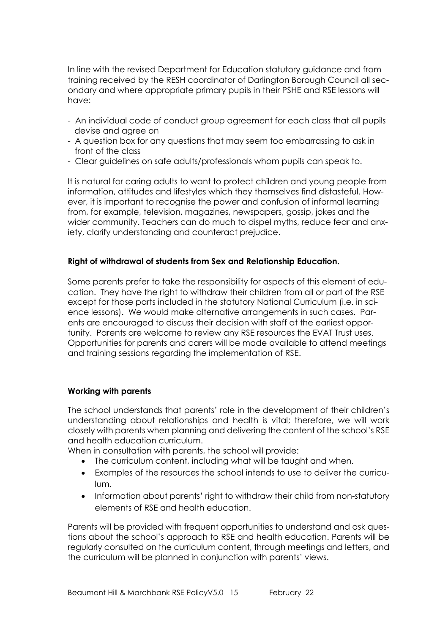In line with the revised Department for Education statutory guidance and from training received by the RESH coordinator of Darlington Borough Council all secondary and where appropriate primary pupils in their PSHE and RSE lessons will have:

- An individual code of conduct group agreement for each class that all pupils devise and agree on
- A question box for any questions that may seem too embarrassing to ask in front of the class
- Clear guidelines on safe adults/professionals whom pupils can speak to.

It is natural for caring adults to want to protect children and young people from information, attitudes and lifestyles which they themselves find distasteful. However, it is important to recognise the power and confusion of informal learning from, for example, television, magazines, newspapers, gossip, jokes and the wider community. Teachers can do much to dispel myths, reduce fear and anxiety, clarify understanding and counteract prejudice.

## **Right of withdrawal of students from Sex and Relationship Education.**

Some parents prefer to take the responsibility for aspects of this element of education. They have the right to withdraw their children from all or part of the RSE except for those parts included in the statutory National Curriculum (i.e. in science lessons). We would make alternative arrangements in such cases. Parents are encouraged to discuss their decision with staff at the earliest opportunity. Parents are welcome to review any RSE resources the EVAT Trust uses. Opportunities for parents and carers will be made available to attend meetings and training sessions regarding the implementation of RSE.

#### **Working with parents**

The school understands that parents' role in the development of their children's understanding about relationships and health is vital; therefore, we will work closely with parents when planning and delivering the content of the school's RSE and health education curriculum.

When in consultation with parents, the school will provide:

- The curriculum content, including what will be taught and when.
- Examples of the resources the school intends to use to deliver the curriculum.
- Information about parents' right to withdraw their child from non-statutory elements of RSE and health education.

Parents will be provided with frequent opportunities to understand and ask questions about the school's approach to RSE and health education. Parents will be regularly consulted on the curriculum content, through meetings and letters, and the curriculum will be planned in conjunction with parents' views.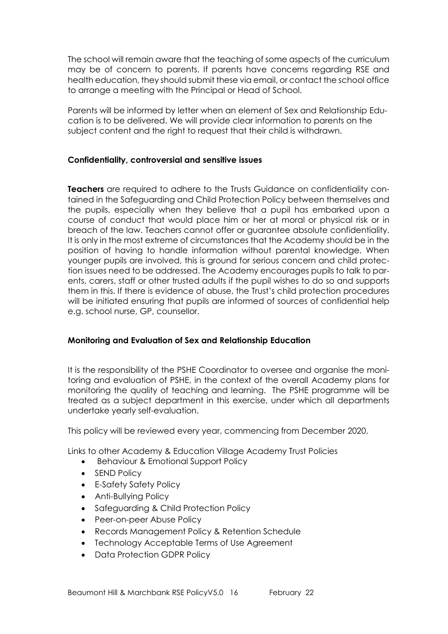The school will remain aware that the teaching of some aspects of the curriculum may be of concern to parents. If parents have concerns regarding RSE and health education, they should submit these via email, or contact the school office to arrange a meeting with the Principal or Head of School.

Parents will be informed by letter when an element of Sex and Relationship Education is to be delivered. We will provide clear information to parents on the subject content and the right to request that their child is withdrawn.

#### **Confidentiality, controversial and sensitive issues**

**Teachers** are required to adhere to the Trusts Guidance on confidentiality contained in the Safeguarding and Child Protection Policy between themselves and the pupils, especially when they believe that a pupil has embarked upon a course of conduct that would place him or her at moral or physical risk or in breach of the law. Teachers cannot offer or guarantee absolute confidentiality. It is only in the most extreme of circumstances that the Academy should be in the position of having to handle information without parental knowledge. When younger pupils are involved, this is ground for serious concern and child protection issues need to be addressed. The Academy encourages pupils to talk to parents, carers, staff or other trusted adults if the pupil wishes to do so and supports them in this. If there is evidence of abuse, the Trust's child protection procedures will be initiated ensuring that pupils are informed of sources of confidential help e.g. school nurse, GP, counsellor.

#### **Monitoring and Evaluation of Sex and Relationship Education**

It is the responsibility of the PSHE Coordinator to oversee and organise the monitoring and evaluation of PSHE, in the context of the overall Academy plans for monitoring the quality of teaching and learning. The PSHE programme will be treated as a subject department in this exercise, under which all departments undertake yearly self-evaluation.

This policy will be reviewed every year, commencing from December 2020.

Links to other Academy & Education Village Academy Trust Policies

- Behaviour & Emotional Support Policy
- SEND Policy
- E-Safety Safety Policy
- Anti-Bullying Policy
- Safeguarding & Child Protection Policy
- Peer-on-peer Abuse Policy
- Records Management Policy & Retention Schedule
- Technology Acceptable Terms of Use Agreement
- Data Protection GDPR Policy